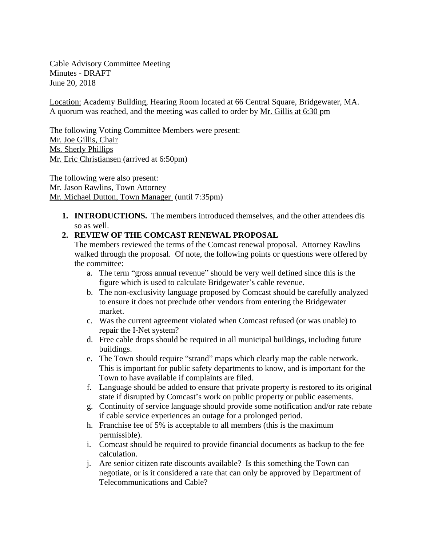Cable Advisory Committee Meeting Minutes - DRAFT June 20, 2018

Location: Academy Building, Hearing Room located at 66 Central Square, Bridgewater, MA. A quorum was reached, and the meeting was called to order by Mr. Gillis at 6:30 pm

The following Voting Committee Members were present: Mr. Joe Gillis, Chair Ms. Sherly Phillips Mr. Eric Christiansen (arrived at 6:50pm)

The following were also present: Mr. Jason Rawlins, Town Attorney Mr. Michael Dutton, Town Manager (until 7:35pm)

**1. INTRODUCTIONS.** The members introduced themselves, and the other attendees dis so as well.

## **2. REVIEW OF THE COMCAST RENEWAL PROPOSAL**

The members reviewed the terms of the Comcast renewal proposal. Attorney Rawlins walked through the proposal. Of note, the following points or questions were offered by the committee:

- a. The term "gross annual revenue" should be very well defined since this is the figure which is used to calculate Bridgewater's cable revenue.
- b. The non-exclusivity language proposed by Comcast should be carefully analyzed to ensure it does not preclude other vendors from entering the Bridgewater market.
- c. Was the current agreement violated when Comcast refused (or was unable) to repair the I-Net system?
- d. Free cable drops should be required in all municipal buildings, including future buildings.
- e. The Town should require "strand" maps which clearly map the cable network. This is important for public safety departments to know, and is important for the Town to have available if complaints are filed.
- f. Language should be added to ensure that private property is restored to its original state if disrupted by Comcast's work on public property or public easements.
- g. Continuity of service language should provide some notification and/or rate rebate if cable service experiences an outage for a prolonged period.
- h. Franchise fee of 5% is acceptable to all members (this is the maximum permissible).
- i. Comcast should be required to provide financial documents as backup to the fee calculation.
- j. Are senior citizen rate discounts available? Is this something the Town can negotiate, or is it considered a rate that can only be approved by Department of Telecommunications and Cable?